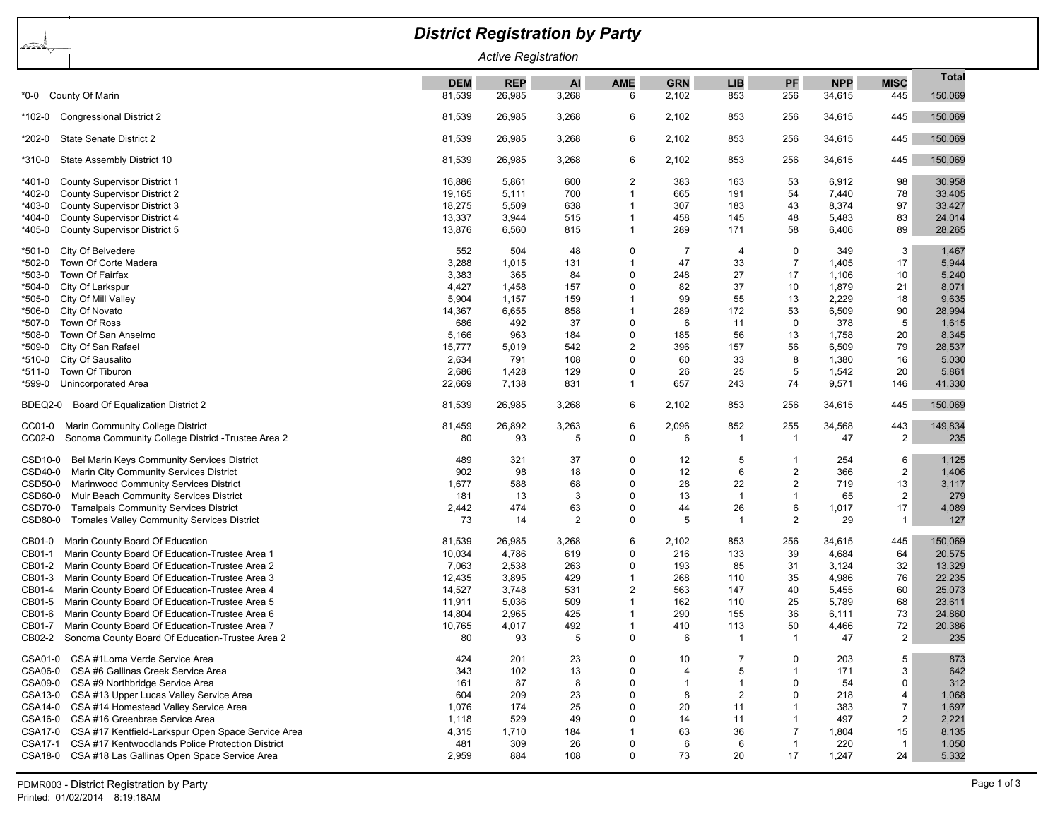| <u>barda p</u><br><b>Active Registration</b><br>Total<br><b>REP</b><br><b>AI</b><br><b>AME</b><br><b>GRN</b><br><b>LIB</b><br>PF<br><b>NPP</b><br><b>MISC</b><br><b>DEM</b><br>81,539<br>26,985<br>3,268<br>853<br>256<br>150,069<br>County Of Marin<br>2,102<br>34,615<br>445<br>6<br>*0-0<br>445<br>150,069<br><b>Congressional District 2</b><br>81,539<br>26,985<br>3,268<br>6<br>2,102<br>853<br>256<br>34,615<br>*102-0<br>445<br>150,069<br>State Senate District 2<br>81,539<br>26,985<br>3,268<br>6<br>2,102<br>853<br>256<br>34,615<br>*202-0<br>445<br>State Assembly District 10<br>81,539<br>26,985<br>3,268<br>6<br>2,102<br>853<br>256<br>150,069<br>34,615<br>*310-0<br>600<br>2<br>98<br><b>County Supervisor District 1</b><br>16,886<br>383<br>163<br>53<br>6,912<br>30,958<br>*401-0<br>5,861<br>19,165<br>700<br>665<br>191<br>78<br>*402-0<br><b>County Supervisor District 2</b><br>5,111<br>1<br>54<br>7,440<br>33,405<br>18,275<br>638<br>307<br>183<br>8,374<br>97<br>33,427<br>*403-0<br>County Supervisor District 3<br>5,509<br>1<br>43<br>13,337<br>458<br>48<br>83<br>*404-0<br>County Supervisor District 4<br>3,944<br>515<br>1<br>145<br>5,483<br>24,014<br>13,876<br>289<br>171<br>58<br>89<br>28,265<br>*405-0<br>County Supervisor District 5<br>6,560<br>815<br>1<br>6,406<br>552<br>3<br>*501-0<br>City Of Belvedere<br>504<br>48<br>7<br>0<br>349<br>1,467<br>0<br>$\overline{4}$<br>3,288<br>47<br>33<br>$\overline{7}$<br>5,944<br>*502-0<br>Town Of Corte Madera<br>1,015<br>131<br>1<br>1,405<br>17<br>3,383<br>365<br>27<br>17<br>10<br>*503-0<br>Town Of Fairfax<br>84<br>0<br>248<br>1,106<br>5,240<br>4,427<br>82<br>37<br>1,879<br>8,071<br>*504-0<br>City Of Larkspur<br>1,458<br>157<br>0<br>10<br>21<br>5,904<br>99<br>55<br>13<br>2,229<br>18<br>9,635<br>*505-0<br>City Of Mill Valley<br>1,157<br>159<br>1<br>14,367<br>289<br>172<br>53<br>90<br>28,994<br>*506-0<br>City Of Novato<br>6,655<br>858<br>1<br>6,509<br>686<br>5<br>*507-0<br>Town Of Ross<br>492<br>37<br>0<br>6<br>11<br>0<br>378<br>1,615<br>5,166<br>13<br>8,345<br>*508-0<br>Town Of San Anselmo<br>963<br>184<br>0<br>185<br>56<br>1,758<br>20<br>$\overline{2}$<br>56<br>79<br>*509-0<br>City Of San Rafael<br>15,777<br>5,019<br>542<br>396<br>157<br>6,509<br>28,537<br>2,634<br>791<br>33<br>8<br>City Of Sausalito<br>108<br>0<br>60<br>1,380<br>16<br>5,030<br>*510-0<br>2,686<br>5<br>Town Of Tiburon<br>1,428<br>129<br>0<br>26<br>25<br>1,542<br>20<br>5,861<br>*511-0<br>7,138<br>41,330<br>*599-0<br>Unincorporated Area<br>22,669<br>831<br>1<br>657<br>243<br>74<br>9,571<br>146<br>Board Of Equalization District 2<br>445<br>150,069<br>81,539<br>26,985<br>6<br>2,102<br>853<br>256<br>34,615<br>BDEQ2-0<br>3,268<br>Marin Community College District<br>81,459<br>26,892<br>3,263<br>6<br>2,096<br>852<br>255<br>34,568<br>443<br>149,834<br>CC01-0<br>80<br>93<br>0<br>6<br>$\overline{2}$<br>235<br>CC02-0<br>Sonoma Community College District - Trustee Area 2<br>5<br>-1<br>-1<br>47<br>Bel Marin Keys Community Services District<br>6<br>CSD10-0<br>489<br>321<br>37<br>12<br>5<br>254<br>1,125<br>0<br>-1<br>Marin City Community Services District<br>902<br>98<br>18<br>12<br>6<br>2<br>366<br>$\overline{\mathbf{c}}$<br>1,406<br>CSD40-0<br>0<br>Marinwood Community Services District<br>1,677<br>28<br>22<br>$\overline{2}$<br>13<br>CSD50-0<br>588<br>68<br>$\Omega$<br>719<br>3,117<br>Muir Beach Community Services District<br>181<br>3<br>65<br>$\overline{2}$<br>279<br>CSD60-0<br>13<br>0<br>13<br>$\overline{1}$<br>-1<br><b>CSD70-0</b><br><b>Tamalpais Community Services District</b><br>2,442<br>474<br>63<br>26<br>6<br>17<br>4,089<br>0<br>44<br>1,017<br>73<br>$\overline{2}$<br>2<br>29<br>127<br>CSD80-0<br><b>Tomales Valley Community Services District</b><br>14<br>0<br>5<br>-1<br>$\mathbf{1}$<br>Marin County Board Of Education<br>81,539<br>26,985<br>3,268<br>6<br>2,102<br>853<br>256<br>34,615<br>445<br>150,069<br>CB01-0<br>39<br>Marin County Board Of Education-Trustee Area 1<br>10,034<br>4,786<br>619<br>0<br>216<br>133<br>4,684<br>64<br>20,575<br>CB01-1<br>32<br>CB01-2<br>Marin County Board Of Education-Trustee Area 2<br>7,063<br>2,538<br>263<br>0<br>193<br>85<br>31<br>3,124<br>13,329<br>76<br>CB01-3<br>Marin County Board Of Education-Trustee Area 3<br>12,435<br>3,895<br>429<br>1<br>268<br>110<br>35<br>4,986<br>22,235<br>2<br>Marin County Board Of Education-Trustee Area 4<br>14,527<br>3,748<br>531<br>563<br>147<br>40<br>5,455<br>60<br>25,073<br>CB01-4 |
|--------------------------------------------------------------------------------------------------------------------------------------------------------------------------------------------------------------------------------------------------------------------------------------------------------------------------------------------------------------------------------------------------------------------------------------------------------------------------------------------------------------------------------------------------------------------------------------------------------------------------------------------------------------------------------------------------------------------------------------------------------------------------------------------------------------------------------------------------------------------------------------------------------------------------------------------------------------------------------------------------------------------------------------------------------------------------------------------------------------------------------------------------------------------------------------------------------------------------------------------------------------------------------------------------------------------------------------------------------------------------------------------------------------------------------------------------------------------------------------------------------------------------------------------------------------------------------------------------------------------------------------------------------------------------------------------------------------------------------------------------------------------------------------------------------------------------------------------------------------------------------------------------------------------------------------------------------------------------------------------------------------------------------------------------------------------------------------------------------------------------------------------------------------------------------------------------------------------------------------------------------------------------------------------------------------------------------------------------------------------------------------------------------------------------------------------------------------------------------------------------------------------------------------------------------------------------------------------------------------------------------------------------------------------------------------------------------------------------------------------------------------------------------------------------------------------------------------------------------------------------------------------------------------------------------------------------------------------------------------------------------------------------------------------------------------------------------------------------------------------------------------------------------------------------------------------------------------------------------------------------------------------------------------------------------------------------------------------------------------------------------------------------------------------------------------------------------------------------------------------------------------------------------------------------------------------------------------------------------------------------------------------------------------------------------------------------------------------------------------------------------------------------------------------------------------------------------------------------------------------------------------------------------------------------------------------------------------------------------------------------------------------------------------------------------------------------------------------------------------------------------------------------------------------------------------------------------------------------------------------------------------------------------------------------------------------------------------------------------------------------------------------------------------------------------------------------------------------------------------------------------------------------------------------------------------------------------|
|                                                                                                                                                                                                                                                                                                                                                                                                                                                                                                                                                                                                                                                                                                                                                                                                                                                                                                                                                                                                                                                                                                                                                                                                                                                                                                                                                                                                                                                                                                                                                                                                                                                                                                                                                                                                                                                                                                                                                                                                                                                                                                                                                                                                                                                                                                                                                                                                                                                                                                                                                                                                                                                                                                                                                                                                                                                                                                                                                                                                                                                                                                                                                                                                                                                                                                                                                                                                                                                                                                                                                                                                                                                                                                                                                                                                                                                                                                                                                                                                                                                                                                                                                                                                                                                                                                                                                                                                                                                                                                                                                                                |
|                                                                                                                                                                                                                                                                                                                                                                                                                                                                                                                                                                                                                                                                                                                                                                                                                                                                                                                                                                                                                                                                                                                                                                                                                                                                                                                                                                                                                                                                                                                                                                                                                                                                                                                                                                                                                                                                                                                                                                                                                                                                                                                                                                                                                                                                                                                                                                                                                                                                                                                                                                                                                                                                                                                                                                                                                                                                                                                                                                                                                                                                                                                                                                                                                                                                                                                                                                                                                                                                                                                                                                                                                                                                                                                                                                                                                                                                                                                                                                                                                                                                                                                                                                                                                                                                                                                                                                                                                                                                                                                                                                                |
|                                                                                                                                                                                                                                                                                                                                                                                                                                                                                                                                                                                                                                                                                                                                                                                                                                                                                                                                                                                                                                                                                                                                                                                                                                                                                                                                                                                                                                                                                                                                                                                                                                                                                                                                                                                                                                                                                                                                                                                                                                                                                                                                                                                                                                                                                                                                                                                                                                                                                                                                                                                                                                                                                                                                                                                                                                                                                                                                                                                                                                                                                                                                                                                                                                                                                                                                                                                                                                                                                                                                                                                                                                                                                                                                                                                                                                                                                                                                                                                                                                                                                                                                                                                                                                                                                                                                                                                                                                                                                                                                                                                |
|                                                                                                                                                                                                                                                                                                                                                                                                                                                                                                                                                                                                                                                                                                                                                                                                                                                                                                                                                                                                                                                                                                                                                                                                                                                                                                                                                                                                                                                                                                                                                                                                                                                                                                                                                                                                                                                                                                                                                                                                                                                                                                                                                                                                                                                                                                                                                                                                                                                                                                                                                                                                                                                                                                                                                                                                                                                                                                                                                                                                                                                                                                                                                                                                                                                                                                                                                                                                                                                                                                                                                                                                                                                                                                                                                                                                                                                                                                                                                                                                                                                                                                                                                                                                                                                                                                                                                                                                                                                                                                                                                                                |
|                                                                                                                                                                                                                                                                                                                                                                                                                                                                                                                                                                                                                                                                                                                                                                                                                                                                                                                                                                                                                                                                                                                                                                                                                                                                                                                                                                                                                                                                                                                                                                                                                                                                                                                                                                                                                                                                                                                                                                                                                                                                                                                                                                                                                                                                                                                                                                                                                                                                                                                                                                                                                                                                                                                                                                                                                                                                                                                                                                                                                                                                                                                                                                                                                                                                                                                                                                                                                                                                                                                                                                                                                                                                                                                                                                                                                                                                                                                                                                                                                                                                                                                                                                                                                                                                                                                                                                                                                                                                                                                                                                                |
|                                                                                                                                                                                                                                                                                                                                                                                                                                                                                                                                                                                                                                                                                                                                                                                                                                                                                                                                                                                                                                                                                                                                                                                                                                                                                                                                                                                                                                                                                                                                                                                                                                                                                                                                                                                                                                                                                                                                                                                                                                                                                                                                                                                                                                                                                                                                                                                                                                                                                                                                                                                                                                                                                                                                                                                                                                                                                                                                                                                                                                                                                                                                                                                                                                                                                                                                                                                                                                                                                                                                                                                                                                                                                                                                                                                                                                                                                                                                                                                                                                                                                                                                                                                                                                                                                                                                                                                                                                                                                                                                                                                |
|                                                                                                                                                                                                                                                                                                                                                                                                                                                                                                                                                                                                                                                                                                                                                                                                                                                                                                                                                                                                                                                                                                                                                                                                                                                                                                                                                                                                                                                                                                                                                                                                                                                                                                                                                                                                                                                                                                                                                                                                                                                                                                                                                                                                                                                                                                                                                                                                                                                                                                                                                                                                                                                                                                                                                                                                                                                                                                                                                                                                                                                                                                                                                                                                                                                                                                                                                                                                                                                                                                                                                                                                                                                                                                                                                                                                                                                                                                                                                                                                                                                                                                                                                                                                                                                                                                                                                                                                                                                                                                                                                                                |
|                                                                                                                                                                                                                                                                                                                                                                                                                                                                                                                                                                                                                                                                                                                                                                                                                                                                                                                                                                                                                                                                                                                                                                                                                                                                                                                                                                                                                                                                                                                                                                                                                                                                                                                                                                                                                                                                                                                                                                                                                                                                                                                                                                                                                                                                                                                                                                                                                                                                                                                                                                                                                                                                                                                                                                                                                                                                                                                                                                                                                                                                                                                                                                                                                                                                                                                                                                                                                                                                                                                                                                                                                                                                                                                                                                                                                                                                                                                                                                                                                                                                                                                                                                                                                                                                                                                                                                                                                                                                                                                                                                                |
|                                                                                                                                                                                                                                                                                                                                                                                                                                                                                                                                                                                                                                                                                                                                                                                                                                                                                                                                                                                                                                                                                                                                                                                                                                                                                                                                                                                                                                                                                                                                                                                                                                                                                                                                                                                                                                                                                                                                                                                                                                                                                                                                                                                                                                                                                                                                                                                                                                                                                                                                                                                                                                                                                                                                                                                                                                                                                                                                                                                                                                                                                                                                                                                                                                                                                                                                                                                                                                                                                                                                                                                                                                                                                                                                                                                                                                                                                                                                                                                                                                                                                                                                                                                                                                                                                                                                                                                                                                                                                                                                                                                |
|                                                                                                                                                                                                                                                                                                                                                                                                                                                                                                                                                                                                                                                                                                                                                                                                                                                                                                                                                                                                                                                                                                                                                                                                                                                                                                                                                                                                                                                                                                                                                                                                                                                                                                                                                                                                                                                                                                                                                                                                                                                                                                                                                                                                                                                                                                                                                                                                                                                                                                                                                                                                                                                                                                                                                                                                                                                                                                                                                                                                                                                                                                                                                                                                                                                                                                                                                                                                                                                                                                                                                                                                                                                                                                                                                                                                                                                                                                                                                                                                                                                                                                                                                                                                                                                                                                                                                                                                                                                                                                                                                                                |
|                                                                                                                                                                                                                                                                                                                                                                                                                                                                                                                                                                                                                                                                                                                                                                                                                                                                                                                                                                                                                                                                                                                                                                                                                                                                                                                                                                                                                                                                                                                                                                                                                                                                                                                                                                                                                                                                                                                                                                                                                                                                                                                                                                                                                                                                                                                                                                                                                                                                                                                                                                                                                                                                                                                                                                                                                                                                                                                                                                                                                                                                                                                                                                                                                                                                                                                                                                                                                                                                                                                                                                                                                                                                                                                                                                                                                                                                                                                                                                                                                                                                                                                                                                                                                                                                                                                                                                                                                                                                                                                                                                                |
|                                                                                                                                                                                                                                                                                                                                                                                                                                                                                                                                                                                                                                                                                                                                                                                                                                                                                                                                                                                                                                                                                                                                                                                                                                                                                                                                                                                                                                                                                                                                                                                                                                                                                                                                                                                                                                                                                                                                                                                                                                                                                                                                                                                                                                                                                                                                                                                                                                                                                                                                                                                                                                                                                                                                                                                                                                                                                                                                                                                                                                                                                                                                                                                                                                                                                                                                                                                                                                                                                                                                                                                                                                                                                                                                                                                                                                                                                                                                                                                                                                                                                                                                                                                                                                                                                                                                                                                                                                                                                                                                                                                |
|                                                                                                                                                                                                                                                                                                                                                                                                                                                                                                                                                                                                                                                                                                                                                                                                                                                                                                                                                                                                                                                                                                                                                                                                                                                                                                                                                                                                                                                                                                                                                                                                                                                                                                                                                                                                                                                                                                                                                                                                                                                                                                                                                                                                                                                                                                                                                                                                                                                                                                                                                                                                                                                                                                                                                                                                                                                                                                                                                                                                                                                                                                                                                                                                                                                                                                                                                                                                                                                                                                                                                                                                                                                                                                                                                                                                                                                                                                                                                                                                                                                                                                                                                                                                                                                                                                                                                                                                                                                                                                                                                                                |
|                                                                                                                                                                                                                                                                                                                                                                                                                                                                                                                                                                                                                                                                                                                                                                                                                                                                                                                                                                                                                                                                                                                                                                                                                                                                                                                                                                                                                                                                                                                                                                                                                                                                                                                                                                                                                                                                                                                                                                                                                                                                                                                                                                                                                                                                                                                                                                                                                                                                                                                                                                                                                                                                                                                                                                                                                                                                                                                                                                                                                                                                                                                                                                                                                                                                                                                                                                                                                                                                                                                                                                                                                                                                                                                                                                                                                                                                                                                                                                                                                                                                                                                                                                                                                                                                                                                                                                                                                                                                                                                                                                                |
|                                                                                                                                                                                                                                                                                                                                                                                                                                                                                                                                                                                                                                                                                                                                                                                                                                                                                                                                                                                                                                                                                                                                                                                                                                                                                                                                                                                                                                                                                                                                                                                                                                                                                                                                                                                                                                                                                                                                                                                                                                                                                                                                                                                                                                                                                                                                                                                                                                                                                                                                                                                                                                                                                                                                                                                                                                                                                                                                                                                                                                                                                                                                                                                                                                                                                                                                                                                                                                                                                                                                                                                                                                                                                                                                                                                                                                                                                                                                                                                                                                                                                                                                                                                                                                                                                                                                                                                                                                                                                                                                                                                |
|                                                                                                                                                                                                                                                                                                                                                                                                                                                                                                                                                                                                                                                                                                                                                                                                                                                                                                                                                                                                                                                                                                                                                                                                                                                                                                                                                                                                                                                                                                                                                                                                                                                                                                                                                                                                                                                                                                                                                                                                                                                                                                                                                                                                                                                                                                                                                                                                                                                                                                                                                                                                                                                                                                                                                                                                                                                                                                                                                                                                                                                                                                                                                                                                                                                                                                                                                                                                                                                                                                                                                                                                                                                                                                                                                                                                                                                                                                                                                                                                                                                                                                                                                                                                                                                                                                                                                                                                                                                                                                                                                                                |
|                                                                                                                                                                                                                                                                                                                                                                                                                                                                                                                                                                                                                                                                                                                                                                                                                                                                                                                                                                                                                                                                                                                                                                                                                                                                                                                                                                                                                                                                                                                                                                                                                                                                                                                                                                                                                                                                                                                                                                                                                                                                                                                                                                                                                                                                                                                                                                                                                                                                                                                                                                                                                                                                                                                                                                                                                                                                                                                                                                                                                                                                                                                                                                                                                                                                                                                                                                                                                                                                                                                                                                                                                                                                                                                                                                                                                                                                                                                                                                                                                                                                                                                                                                                                                                                                                                                                                                                                                                                                                                                                                                                |
|                                                                                                                                                                                                                                                                                                                                                                                                                                                                                                                                                                                                                                                                                                                                                                                                                                                                                                                                                                                                                                                                                                                                                                                                                                                                                                                                                                                                                                                                                                                                                                                                                                                                                                                                                                                                                                                                                                                                                                                                                                                                                                                                                                                                                                                                                                                                                                                                                                                                                                                                                                                                                                                                                                                                                                                                                                                                                                                                                                                                                                                                                                                                                                                                                                                                                                                                                                                                                                                                                                                                                                                                                                                                                                                                                                                                                                                                                                                                                                                                                                                                                                                                                                                                                                                                                                                                                                                                                                                                                                                                                                                |
|                                                                                                                                                                                                                                                                                                                                                                                                                                                                                                                                                                                                                                                                                                                                                                                                                                                                                                                                                                                                                                                                                                                                                                                                                                                                                                                                                                                                                                                                                                                                                                                                                                                                                                                                                                                                                                                                                                                                                                                                                                                                                                                                                                                                                                                                                                                                                                                                                                                                                                                                                                                                                                                                                                                                                                                                                                                                                                                                                                                                                                                                                                                                                                                                                                                                                                                                                                                                                                                                                                                                                                                                                                                                                                                                                                                                                                                                                                                                                                                                                                                                                                                                                                                                                                                                                                                                                                                                                                                                                                                                                                                |
|                                                                                                                                                                                                                                                                                                                                                                                                                                                                                                                                                                                                                                                                                                                                                                                                                                                                                                                                                                                                                                                                                                                                                                                                                                                                                                                                                                                                                                                                                                                                                                                                                                                                                                                                                                                                                                                                                                                                                                                                                                                                                                                                                                                                                                                                                                                                                                                                                                                                                                                                                                                                                                                                                                                                                                                                                                                                                                                                                                                                                                                                                                                                                                                                                                                                                                                                                                                                                                                                                                                                                                                                                                                                                                                                                                                                                                                                                                                                                                                                                                                                                                                                                                                                                                                                                                                                                                                                                                                                                                                                                                                |
|                                                                                                                                                                                                                                                                                                                                                                                                                                                                                                                                                                                                                                                                                                                                                                                                                                                                                                                                                                                                                                                                                                                                                                                                                                                                                                                                                                                                                                                                                                                                                                                                                                                                                                                                                                                                                                                                                                                                                                                                                                                                                                                                                                                                                                                                                                                                                                                                                                                                                                                                                                                                                                                                                                                                                                                                                                                                                                                                                                                                                                                                                                                                                                                                                                                                                                                                                                                                                                                                                                                                                                                                                                                                                                                                                                                                                                                                                                                                                                                                                                                                                                                                                                                                                                                                                                                                                                                                                                                                                                                                                                                |
|                                                                                                                                                                                                                                                                                                                                                                                                                                                                                                                                                                                                                                                                                                                                                                                                                                                                                                                                                                                                                                                                                                                                                                                                                                                                                                                                                                                                                                                                                                                                                                                                                                                                                                                                                                                                                                                                                                                                                                                                                                                                                                                                                                                                                                                                                                                                                                                                                                                                                                                                                                                                                                                                                                                                                                                                                                                                                                                                                                                                                                                                                                                                                                                                                                                                                                                                                                                                                                                                                                                                                                                                                                                                                                                                                                                                                                                                                                                                                                                                                                                                                                                                                                                                                                                                                                                                                                                                                                                                                                                                                                                |
|                                                                                                                                                                                                                                                                                                                                                                                                                                                                                                                                                                                                                                                                                                                                                                                                                                                                                                                                                                                                                                                                                                                                                                                                                                                                                                                                                                                                                                                                                                                                                                                                                                                                                                                                                                                                                                                                                                                                                                                                                                                                                                                                                                                                                                                                                                                                                                                                                                                                                                                                                                                                                                                                                                                                                                                                                                                                                                                                                                                                                                                                                                                                                                                                                                                                                                                                                                                                                                                                                                                                                                                                                                                                                                                                                                                                                                                                                                                                                                                                                                                                                                                                                                                                                                                                                                                                                                                                                                                                                                                                                                                |
|                                                                                                                                                                                                                                                                                                                                                                                                                                                                                                                                                                                                                                                                                                                                                                                                                                                                                                                                                                                                                                                                                                                                                                                                                                                                                                                                                                                                                                                                                                                                                                                                                                                                                                                                                                                                                                                                                                                                                                                                                                                                                                                                                                                                                                                                                                                                                                                                                                                                                                                                                                                                                                                                                                                                                                                                                                                                                                                                                                                                                                                                                                                                                                                                                                                                                                                                                                                                                                                                                                                                                                                                                                                                                                                                                                                                                                                                                                                                                                                                                                                                                                                                                                                                                                                                                                                                                                                                                                                                                                                                                                                |
|                                                                                                                                                                                                                                                                                                                                                                                                                                                                                                                                                                                                                                                                                                                                                                                                                                                                                                                                                                                                                                                                                                                                                                                                                                                                                                                                                                                                                                                                                                                                                                                                                                                                                                                                                                                                                                                                                                                                                                                                                                                                                                                                                                                                                                                                                                                                                                                                                                                                                                                                                                                                                                                                                                                                                                                                                                                                                                                                                                                                                                                                                                                                                                                                                                                                                                                                                                                                                                                                                                                                                                                                                                                                                                                                                                                                                                                                                                                                                                                                                                                                                                                                                                                                                                                                                                                                                                                                                                                                                                                                                                                |
|                                                                                                                                                                                                                                                                                                                                                                                                                                                                                                                                                                                                                                                                                                                                                                                                                                                                                                                                                                                                                                                                                                                                                                                                                                                                                                                                                                                                                                                                                                                                                                                                                                                                                                                                                                                                                                                                                                                                                                                                                                                                                                                                                                                                                                                                                                                                                                                                                                                                                                                                                                                                                                                                                                                                                                                                                                                                                                                                                                                                                                                                                                                                                                                                                                                                                                                                                                                                                                                                                                                                                                                                                                                                                                                                                                                                                                                                                                                                                                                                                                                                                                                                                                                                                                                                                                                                                                                                                                                                                                                                                                                |
|                                                                                                                                                                                                                                                                                                                                                                                                                                                                                                                                                                                                                                                                                                                                                                                                                                                                                                                                                                                                                                                                                                                                                                                                                                                                                                                                                                                                                                                                                                                                                                                                                                                                                                                                                                                                                                                                                                                                                                                                                                                                                                                                                                                                                                                                                                                                                                                                                                                                                                                                                                                                                                                                                                                                                                                                                                                                                                                                                                                                                                                                                                                                                                                                                                                                                                                                                                                                                                                                                                                                                                                                                                                                                                                                                                                                                                                                                                                                                                                                                                                                                                                                                                                                                                                                                                                                                                                                                                                                                                                                                                                |
|                                                                                                                                                                                                                                                                                                                                                                                                                                                                                                                                                                                                                                                                                                                                                                                                                                                                                                                                                                                                                                                                                                                                                                                                                                                                                                                                                                                                                                                                                                                                                                                                                                                                                                                                                                                                                                                                                                                                                                                                                                                                                                                                                                                                                                                                                                                                                                                                                                                                                                                                                                                                                                                                                                                                                                                                                                                                                                                                                                                                                                                                                                                                                                                                                                                                                                                                                                                                                                                                                                                                                                                                                                                                                                                                                                                                                                                                                                                                                                                                                                                                                                                                                                                                                                                                                                                                                                                                                                                                                                                                                                                |
|                                                                                                                                                                                                                                                                                                                                                                                                                                                                                                                                                                                                                                                                                                                                                                                                                                                                                                                                                                                                                                                                                                                                                                                                                                                                                                                                                                                                                                                                                                                                                                                                                                                                                                                                                                                                                                                                                                                                                                                                                                                                                                                                                                                                                                                                                                                                                                                                                                                                                                                                                                                                                                                                                                                                                                                                                                                                                                                                                                                                                                                                                                                                                                                                                                                                                                                                                                                                                                                                                                                                                                                                                                                                                                                                                                                                                                                                                                                                                                                                                                                                                                                                                                                                                                                                                                                                                                                                                                                                                                                                                                                |
|                                                                                                                                                                                                                                                                                                                                                                                                                                                                                                                                                                                                                                                                                                                                                                                                                                                                                                                                                                                                                                                                                                                                                                                                                                                                                                                                                                                                                                                                                                                                                                                                                                                                                                                                                                                                                                                                                                                                                                                                                                                                                                                                                                                                                                                                                                                                                                                                                                                                                                                                                                                                                                                                                                                                                                                                                                                                                                                                                                                                                                                                                                                                                                                                                                                                                                                                                                                                                                                                                                                                                                                                                                                                                                                                                                                                                                                                                                                                                                                                                                                                                                                                                                                                                                                                                                                                                                                                                                                                                                                                                                                |
|                                                                                                                                                                                                                                                                                                                                                                                                                                                                                                                                                                                                                                                                                                                                                                                                                                                                                                                                                                                                                                                                                                                                                                                                                                                                                                                                                                                                                                                                                                                                                                                                                                                                                                                                                                                                                                                                                                                                                                                                                                                                                                                                                                                                                                                                                                                                                                                                                                                                                                                                                                                                                                                                                                                                                                                                                                                                                                                                                                                                                                                                                                                                                                                                                                                                                                                                                                                                                                                                                                                                                                                                                                                                                                                                                                                                                                                                                                                                                                                                                                                                                                                                                                                                                                                                                                                                                                                                                                                                                                                                                                                |
|                                                                                                                                                                                                                                                                                                                                                                                                                                                                                                                                                                                                                                                                                                                                                                                                                                                                                                                                                                                                                                                                                                                                                                                                                                                                                                                                                                                                                                                                                                                                                                                                                                                                                                                                                                                                                                                                                                                                                                                                                                                                                                                                                                                                                                                                                                                                                                                                                                                                                                                                                                                                                                                                                                                                                                                                                                                                                                                                                                                                                                                                                                                                                                                                                                                                                                                                                                                                                                                                                                                                                                                                                                                                                                                                                                                                                                                                                                                                                                                                                                                                                                                                                                                                                                                                                                                                                                                                                                                                                                                                                                                |
|                                                                                                                                                                                                                                                                                                                                                                                                                                                                                                                                                                                                                                                                                                                                                                                                                                                                                                                                                                                                                                                                                                                                                                                                                                                                                                                                                                                                                                                                                                                                                                                                                                                                                                                                                                                                                                                                                                                                                                                                                                                                                                                                                                                                                                                                                                                                                                                                                                                                                                                                                                                                                                                                                                                                                                                                                                                                                                                                                                                                                                                                                                                                                                                                                                                                                                                                                                                                                                                                                                                                                                                                                                                                                                                                                                                                                                                                                                                                                                                                                                                                                                                                                                                                                                                                                                                                                                                                                                                                                                                                                                                |
|                                                                                                                                                                                                                                                                                                                                                                                                                                                                                                                                                                                                                                                                                                                                                                                                                                                                                                                                                                                                                                                                                                                                                                                                                                                                                                                                                                                                                                                                                                                                                                                                                                                                                                                                                                                                                                                                                                                                                                                                                                                                                                                                                                                                                                                                                                                                                                                                                                                                                                                                                                                                                                                                                                                                                                                                                                                                                                                                                                                                                                                                                                                                                                                                                                                                                                                                                                                                                                                                                                                                                                                                                                                                                                                                                                                                                                                                                                                                                                                                                                                                                                                                                                                                                                                                                                                                                                                                                                                                                                                                                                                |
|                                                                                                                                                                                                                                                                                                                                                                                                                                                                                                                                                                                                                                                                                                                                                                                                                                                                                                                                                                                                                                                                                                                                                                                                                                                                                                                                                                                                                                                                                                                                                                                                                                                                                                                                                                                                                                                                                                                                                                                                                                                                                                                                                                                                                                                                                                                                                                                                                                                                                                                                                                                                                                                                                                                                                                                                                                                                                                                                                                                                                                                                                                                                                                                                                                                                                                                                                                                                                                                                                                                                                                                                                                                                                                                                                                                                                                                                                                                                                                                                                                                                                                                                                                                                                                                                                                                                                                                                                                                                                                                                                                                |
|                                                                                                                                                                                                                                                                                                                                                                                                                                                                                                                                                                                                                                                                                                                                                                                                                                                                                                                                                                                                                                                                                                                                                                                                                                                                                                                                                                                                                                                                                                                                                                                                                                                                                                                                                                                                                                                                                                                                                                                                                                                                                                                                                                                                                                                                                                                                                                                                                                                                                                                                                                                                                                                                                                                                                                                                                                                                                                                                                                                                                                                                                                                                                                                                                                                                                                                                                                                                                                                                                                                                                                                                                                                                                                                                                                                                                                                                                                                                                                                                                                                                                                                                                                                                                                                                                                                                                                                                                                                                                                                                                                                |
| Marin County Board Of Education-Trustee Area 5<br>11,911<br>5,036<br>509<br>162<br>110<br>25<br>5,789<br>68<br>23,611<br>CB01-5<br>1<br>290<br>36<br>73<br>2,965<br>425<br>155<br>6,111<br>-1                                                                                                                                                                                                                                                                                                                                                                                                                                                                                                                                                                                                                                                                                                                                                                                                                                                                                                                                                                                                                                                                                                                                                                                                                                                                                                                                                                                                                                                                                                                                                                                                                                                                                                                                                                                                                                                                                                                                                                                                                                                                                                                                                                                                                                                                                                                                                                                                                                                                                                                                                                                                                                                                                                                                                                                                                                                                                                                                                                                                                                                                                                                                                                                                                                                                                                                                                                                                                                                                                                                                                                                                                                                                                                                                                                                                                                                                                                                                                                                                                                                                                                                                                                                                                                                                                                                                                                                  |
| Marin County Board Of Education-Trustee Area 6<br>14,804<br>24,860<br>CB01-6<br>CB01-7 Marin County Board Of Education-Trustee Area 7<br>10,765<br>4,017<br>492<br>410<br>113<br>50<br>4,466<br>72<br>20,386                                                                                                                                                                                                                                                                                                                                                                                                                                                                                                                                                                                                                                                                                                                                                                                                                                                                                                                                                                                                                                                                                                                                                                                                                                                                                                                                                                                                                                                                                                                                                                                                                                                                                                                                                                                                                                                                                                                                                                                                                                                                                                                                                                                                                                                                                                                                                                                                                                                                                                                                                                                                                                                                                                                                                                                                                                                                                                                                                                                                                                                                                                                                                                                                                                                                                                                                                                                                                                                                                                                                                                                                                                                                                                                                                                                                                                                                                                                                                                                                                                                                                                                                                                                                                                                                                                                                                                   |
| $\overline{2}$<br>80<br>93<br>5<br>6<br>$\mathbf{1}$<br>$\overline{1}$<br>235<br>CB02-2 Sonoma County Board Of Education-Trustee Area 2<br>0<br>47                                                                                                                                                                                                                                                                                                                                                                                                                                                                                                                                                                                                                                                                                                                                                                                                                                                                                                                                                                                                                                                                                                                                                                                                                                                                                                                                                                                                                                                                                                                                                                                                                                                                                                                                                                                                                                                                                                                                                                                                                                                                                                                                                                                                                                                                                                                                                                                                                                                                                                                                                                                                                                                                                                                                                                                                                                                                                                                                                                                                                                                                                                                                                                                                                                                                                                                                                                                                                                                                                                                                                                                                                                                                                                                                                                                                                                                                                                                                                                                                                                                                                                                                                                                                                                                                                                                                                                                                                             |
| 5<br>873<br>CSA #1Loma Verde Service Area<br>424<br>$\overline{7}$<br>0<br>203<br>CSA01-0<br>201<br>23<br>0<br>10                                                                                                                                                                                                                                                                                                                                                                                                                                                                                                                                                                                                                                                                                                                                                                                                                                                                                                                                                                                                                                                                                                                                                                                                                                                                                                                                                                                                                                                                                                                                                                                                                                                                                                                                                                                                                                                                                                                                                                                                                                                                                                                                                                                                                                                                                                                                                                                                                                                                                                                                                                                                                                                                                                                                                                                                                                                                                                                                                                                                                                                                                                                                                                                                                                                                                                                                                                                                                                                                                                                                                                                                                                                                                                                                                                                                                                                                                                                                                                                                                                                                                                                                                                                                                                                                                                                                                                                                                                                              |
| 13<br>5<br>3<br>642<br>CSA06-0<br>CSA #6 Gallinas Creek Service Area<br>343<br>102<br>0<br>$\overline{1}$<br>171<br>$\overline{4}$                                                                                                                                                                                                                                                                                                                                                                                                                                                                                                                                                                                                                                                                                                                                                                                                                                                                                                                                                                                                                                                                                                                                                                                                                                                                                                                                                                                                                                                                                                                                                                                                                                                                                                                                                                                                                                                                                                                                                                                                                                                                                                                                                                                                                                                                                                                                                                                                                                                                                                                                                                                                                                                                                                                                                                                                                                                                                                                                                                                                                                                                                                                                                                                                                                                                                                                                                                                                                                                                                                                                                                                                                                                                                                                                                                                                                                                                                                                                                                                                                                                                                                                                                                                                                                                                                                                                                                                                                                             |
| $\Omega$<br>CSA09-0<br>CSA #9 Northbridge Service Area<br>161<br>87<br>8<br>$\mathbf{1}$<br>$\Omega$<br>0<br>312<br>$\mathbf{1}$<br>54                                                                                                                                                                                                                                                                                                                                                                                                                                                                                                                                                                                                                                                                                                                                                                                                                                                                                                                                                                                                                                                                                                                                                                                                                                                                                                                                                                                                                                                                                                                                                                                                                                                                                                                                                                                                                                                                                                                                                                                                                                                                                                                                                                                                                                                                                                                                                                                                                                                                                                                                                                                                                                                                                                                                                                                                                                                                                                                                                                                                                                                                                                                                                                                                                                                                                                                                                                                                                                                                                                                                                                                                                                                                                                                                                                                                                                                                                                                                                                                                                                                                                                                                                                                                                                                                                                                                                                                                                                         |
| 0<br>8<br>$\overline{2}$<br>$\overline{4}$<br>1,068<br>CSA13-0 CSA #13 Upper Lucas Valley Service Area<br>604<br>209<br>23<br>0<br>218                                                                                                                                                                                                                                                                                                                                                                                                                                                                                                                                                                                                                                                                                                                                                                                                                                                                                                                                                                                                                                                                                                                                                                                                                                                                                                                                                                                                                                                                                                                                                                                                                                                                                                                                                                                                                                                                                                                                                                                                                                                                                                                                                                                                                                                                                                                                                                                                                                                                                                                                                                                                                                                                                                                                                                                                                                                                                                                                                                                                                                                                                                                                                                                                                                                                                                                                                                                                                                                                                                                                                                                                                                                                                                                                                                                                                                                                                                                                                                                                                                                                                                                                                                                                                                                                                                                                                                                                                                         |
| $\overline{7}$<br>CSA14-0 CSA #14 Homestead Valley Service Area<br>25<br>$\Omega$<br>20<br>11<br>$\overline{1}$<br>1,697<br>1,076<br>174<br>383                                                                                                                                                                                                                                                                                                                                                                                                                                                                                                                                                                                                                                                                                                                                                                                                                                                                                                                                                                                                                                                                                                                                                                                                                                                                                                                                                                                                                                                                                                                                                                                                                                                                                                                                                                                                                                                                                                                                                                                                                                                                                                                                                                                                                                                                                                                                                                                                                                                                                                                                                                                                                                                                                                                                                                                                                                                                                                                                                                                                                                                                                                                                                                                                                                                                                                                                                                                                                                                                                                                                                                                                                                                                                                                                                                                                                                                                                                                                                                                                                                                                                                                                                                                                                                                                                                                                                                                                                                |
| $\overline{2}$<br>CSA16-0 CSA #16 Greenbrae Service Area<br>49<br>0<br>2,221<br>1,118<br>529<br>14<br>$\overline{1}$<br>497<br>11                                                                                                                                                                                                                                                                                                                                                                                                                                                                                                                                                                                                                                                                                                                                                                                                                                                                                                                                                                                                                                                                                                                                                                                                                                                                                                                                                                                                                                                                                                                                                                                                                                                                                                                                                                                                                                                                                                                                                                                                                                                                                                                                                                                                                                                                                                                                                                                                                                                                                                                                                                                                                                                                                                                                                                                                                                                                                                                                                                                                                                                                                                                                                                                                                                                                                                                                                                                                                                                                                                                                                                                                                                                                                                                                                                                                                                                                                                                                                                                                                                                                                                                                                                                                                                                                                                                                                                                                                                              |
| $\overline{7}$<br>15<br>CSA17-0 CSA #17 Kentfield-Larkspur Open Space Service Area<br>4,315<br>$\overline{1}$<br>63<br>36<br>8,135<br>1,710<br>184<br>1,804                                                                                                                                                                                                                                                                                                                                                                                                                                                                                                                                                                                                                                                                                                                                                                                                                                                                                                                                                                                                                                                                                                                                                                                                                                                                                                                                                                                                                                                                                                                                                                                                                                                                                                                                                                                                                                                                                                                                                                                                                                                                                                                                                                                                                                                                                                                                                                                                                                                                                                                                                                                                                                                                                                                                                                                                                                                                                                                                                                                                                                                                                                                                                                                                                                                                                                                                                                                                                                                                                                                                                                                                                                                                                                                                                                                                                                                                                                                                                                                                                                                                                                                                                                                                                                                                                                                                                                                                                    |
| <b>CSA17-1</b><br>CSA #17 Kentwoodlands Police Protection District<br>481<br>309<br>26<br>0<br>6<br>6<br>$\overline{1}$<br>220<br>$\mathbf{1}$<br>1,050                                                                                                                                                                                                                                                                                                                                                                                                                                                                                                                                                                                                                                                                                                                                                                                                                                                                                                                                                                                                                                                                                                                                                                                                                                                                                                                                                                                                                                                                                                                                                                                                                                                                                                                                                                                                                                                                                                                                                                                                                                                                                                                                                                                                                                                                                                                                                                                                                                                                                                                                                                                                                                                                                                                                                                                                                                                                                                                                                                                                                                                                                                                                                                                                                                                                                                                                                                                                                                                                                                                                                                                                                                                                                                                                                                                                                                                                                                                                                                                                                                                                                                                                                                                                                                                                                                                                                                                                                        |
| 0<br>73<br>17<br>CSA18-0 CSA #18 Las Gallinas Open Space Service Area<br>2,959<br>20<br>1,247<br>24<br>5,332<br>884<br>108                                                                                                                                                                                                                                                                                                                                                                                                                                                                                                                                                                                                                                                                                                                                                                                                                                                                                                                                                                                                                                                                                                                                                                                                                                                                                                                                                                                                                                                                                                                                                                                                                                                                                                                                                                                                                                                                                                                                                                                                                                                                                                                                                                                                                                                                                                                                                                                                                                                                                                                                                                                                                                                                                                                                                                                                                                                                                                                                                                                                                                                                                                                                                                                                                                                                                                                                                                                                                                                                                                                                                                                                                                                                                                                                                                                                                                                                                                                                                                                                                                                                                                                                                                                                                                                                                                                                                                                                                                                     |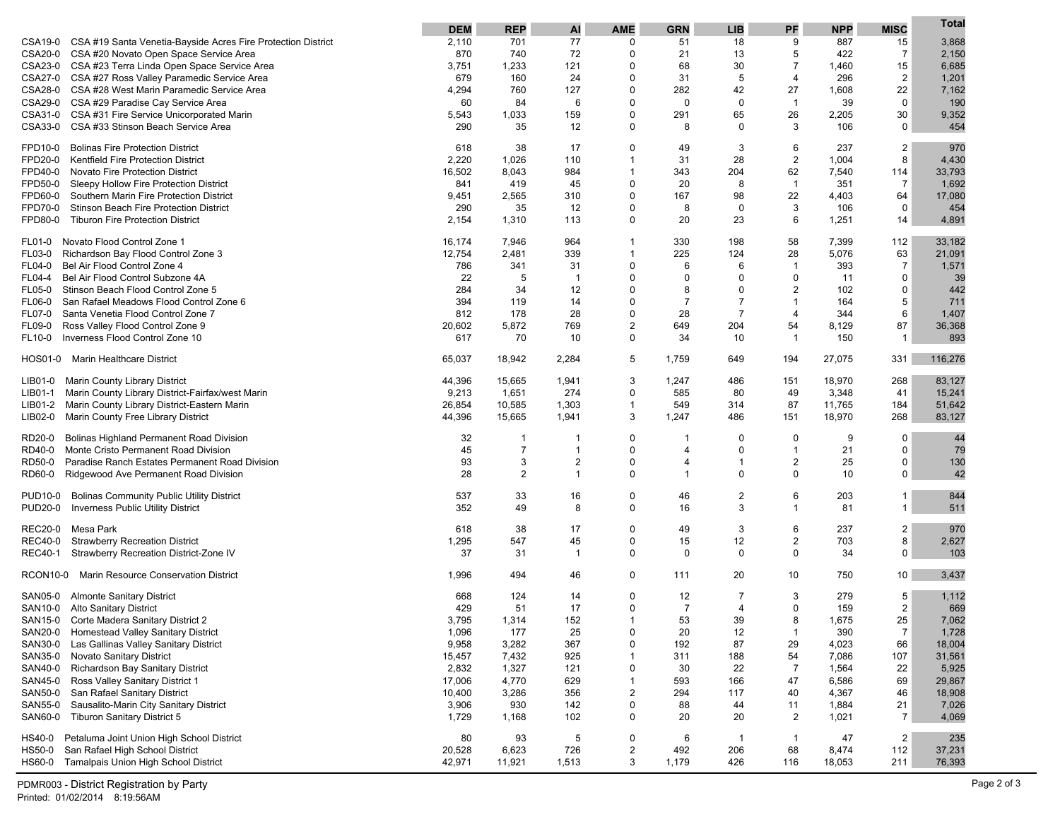|                                                                                                                      | <b>DEM</b>      | <b>REP</b>     | Al                               | <b>AME</b>                  | <b>GRN</b>          | <b>LIB</b>                       | PF                   | <b>NPP</b>     | <b>MISC</b>    | Total            |
|----------------------------------------------------------------------------------------------------------------------|-----------------|----------------|----------------------------------|-----------------------------|---------------------|----------------------------------|----------------------|----------------|----------------|------------------|
| CSA19-0<br>CSA #19 Santa Venetia-Bayside Acres Fire Protection District                                              | 2,110           | 701            | 77                               | 0                           | 51                  | 18                               | 9                    | 887            | 15             | 3,868            |
| CSA20-0<br>CSA #20 Novato Open Space Service Area                                                                    | 870             | 740            | 72                               | 0                           | 21                  | 13                               | 5                    | 422            | 7              | 2,150            |
| CSA23-0<br>CSA #23 Terra Linda Open Space Service Area                                                               | 3,751           | 1,233          | 121                              | 0                           | 68                  | 30                               | $\overline{7}$       | 1,460          | 15             | 6,685            |
| CSA27-0<br>CSA #27 Ross Valley Paramedic Service Area<br><b>CSA28-0</b><br>CSA #28 West Marin Paramedic Service Area | 679             | 160<br>760     | 24<br>127                        | 0<br>0                      | 31<br>282           | 5<br>42                          | $\overline{4}$<br>27 | 296<br>1,608   | 2<br>22        | 1,201            |
| CSA29-0<br>CSA #29 Paradise Cay Service Area                                                                         | 4,294<br>60     | 84             | 6                                | 0                           | 0                   | 0                                | $\overline{1}$       | 39             | $\mathbf 0$    | 7,162<br>190     |
| CSA31-0<br>CSA #31 Fire Service Unicorporated Marin                                                                  | 5,543           | 1,033          | 159                              | 0                           | 291                 | 65                               | 26                   | 2,205          | 30             | 9,352            |
| CSA33-0<br>CSA #33 Stinson Beach Service Area                                                                        | 290             | 35             | 12                               | 0                           | 8                   | 0                                | 3                    | 106            | $\Omega$       | 454              |
|                                                                                                                      |                 |                |                                  |                             |                     |                                  |                      |                |                |                  |
| <b>Bolinas Fire Protection District</b><br>FPD10-0                                                                   | 618             | 38             | 17                               | 0                           | 49                  | 3                                | 6                    | 237            | 2              | 970              |
| FPD20-0<br><b>Kentfield Fire Protection District</b><br>FPD40-0<br>Novato Fire Protection District                   | 2,220<br>16,502 | 1,026<br>8,043 | 110<br>984                       | $\mathbf{1}$<br>1           | 31<br>343           | 28<br>204                        | $\overline{2}$<br>62 | 1,004<br>7,540 | 8<br>114       | 4,430<br>33,793  |
| FPD50-0<br>Sleepy Hollow Fire Protection District                                                                    | 841             | 419            | 45                               | 0                           | 20                  | 8                                | $\overline{1}$       | 351            | $\overline{7}$ | 1,692            |
| FPD60-0<br>Southern Marin Fire Protection District                                                                   | 9,451           | 2,565          | 310                              | 0                           | 167                 | 98                               | 22                   | 4,403          | 64             | 17,080           |
| FPD70-0<br>Stinson Beach Fire Protection District                                                                    | 290             | 35             | 12                               | $\Omega$                    | 8                   | 0                                | 3                    | 106            | 0              | 454              |
| <b>Tiburon Fire Protection District</b><br>FPD80-0                                                                   | 2,154           | 1,310          | 113                              | 0                           | 20                  | 23                               | 6                    | 1,251          | 14             | 4,891            |
| Novato Flood Control Zone 1<br><b>FL01-0</b>                                                                         | 16,174          | 7,946          | 964                              | $\mathbf{1}$                | 330                 | 198                              | 58                   | 7,399          | 112            | 33,182           |
| <b>FL03-0</b><br>Richardson Bay Flood Control Zone 3                                                                 | 12,754          | 2,481          | 339                              | 1                           | 225                 | 124                              | 28                   | 5,076          | 63             | 21,091           |
| <b>FL04-0</b><br>Bel Air Flood Control Zone 4                                                                        | 786             | 341            | 31                               | $\mathbf 0$                 | 6                   | 6                                | $\overline{1}$       | 393            | $\overline{7}$ | 1,571            |
| FL04-4<br>Bel Air Flood Control Subzone 4A                                                                           | 22              | 5              | -1                               | 0                           | $\mathbf 0$         | $\Omega$                         | $\mathbf 0$          | 11             | 0              | 39               |
| FL05-0<br>Stinson Beach Flood Control Zone 5                                                                         | 284             | 34             | 12                               | $\mathbf 0$                 | 8                   | $\Omega$                         | $\overline{2}$       | 102            | $\mathbf 0$    | 442              |
| <b>FL06-0</b><br>San Rafael Meadows Flood Control Zone 6                                                             | 394             | 119            | 14                               | 0                           | $\overline{7}$      | $\overline{7}$<br>$\overline{7}$ | $\overline{1}$       | 164            | 5              | 711              |
| FL07-0<br>Santa Venetia Flood Control Zone 7<br>FL09-0<br>Ross Valley Flood Control Zone 9                           | 812<br>20,602   | 178<br>5,872   | 28<br>769                        | 0<br>$\overline{2}$         | 28<br>649           | 204                              | $\overline{4}$<br>54 | 344<br>8,129   | 6<br>87        | 1,407<br>36,368  |
| Inverness Flood Control Zone 10<br>FL10-0                                                                            | 617             | 70             | 10                               | 0                           | 34                  | 10                               | $\overline{1}$       | 150            | $\mathbf{1}$   | 893              |
|                                                                                                                      |                 |                |                                  |                             |                     |                                  |                      |                |                |                  |
| HOS01-0<br><b>Marin Healthcare District</b>                                                                          | 65,037          | 18,942         | 2,284                            | 5                           | 1,759               | 649                              | 194                  | 27,075         | 331            | 116,276          |
| <b>Marin County Library District</b><br>LIB01-0                                                                      | 44,396          | 15,665         | 1,941                            | 3                           | 1,247               | 486                              | 151                  | 18,970         | 268            | 83,127           |
| Marin County Library District-Fairfax/west Marin<br>LIB01-1                                                          | 9,213           | 1,651          | 274                              | 0                           | 585                 | 80                               | 49                   | 3,348          | 41             | 15,241           |
| Marin County Library District-Eastern Marin<br>LIB01-2<br>Marin County Free Library District                         | 26,854          | 10,585         | 1,303                            | 1<br>3                      | 549                 | 314                              | 87                   | 11,765         | 184<br>268     | 51,642<br>83,127 |
| LIB02-0                                                                                                              | 44,396          | 15,665         | 1,941                            |                             | 1,247               | 486                              | 151                  | 18,970         |                |                  |
| RD20-0<br>Bolinas Highland Permanent Road Division                                                                   | 32              | -1             | -1                               | 0                           | -1                  | 0                                | $\mathbf 0$          | 9              | 0              | 44               |
| RD40-0<br>Monte Cristo Permanent Road Division                                                                       | 45              | $\overline{7}$ | $\mathbf 1$                      | 0                           | $\overline{4}$      | $\mathbf 0$                      | $\overline{1}$       | 21             | $\mathbf 0$    | 79               |
| RD50-0<br>Paradise Ranch Estates Permanent Road Division<br>RD60-0                                                   | 93<br>28        | 3<br>2         | $\overline{2}$<br>$\overline{1}$ | 0<br>$\mathbf 0$            | 4<br>$\overline{1}$ | $\mathbf{1}$<br>$\mathbf 0$      | 2<br>$\mathbf 0$     | 25<br>10       | 0<br>0         | 130<br>42        |
| Ridgewood Ave Permanent Road Division                                                                                |                 |                |                                  |                             |                     |                                  |                      |                |                |                  |
| <b>Bolinas Community Public Utility District</b><br><b>PUD10-0</b>                                                   | 537             | 33             | 16                               | 0                           | 46                  | 2                                | 6                    | 203            | $\mathbf 1$    | 844              |
| <b>PUD20-0</b><br>Inverness Public Utility District                                                                  | 352             | 49             | 8                                | 0                           | 16                  | 3                                | $\overline{1}$       | 81             | $\mathbf{1}$   | 511              |
| <b>REC20-0</b><br>Mesa Park                                                                                          | 618             | 38             | 17                               | 0                           | 49                  | 3                                | 6                    | 237            | 2              | 970              |
| <b>REC40-0</b><br><b>Strawberry Recreation District</b>                                                              | 1,295           | 547            | 45                               | 0                           | 15                  | 12                               | 2                    | 703            | 8              | 2,627            |
| <b>REC40-1</b><br>Strawberry Recreation District-Zone IV                                                             | 37              | 31             | $\mathbf 1$                      | 0                           | 0                   | $\mathbf 0$                      | $\mathbf 0$          | 34             | 0              | 103              |
| RCON10-0 Marin Resource Conservation District                                                                        | 1,996           | 494            | 46                               | 0                           | 111                 | 20                               | 10                   | 750            | 10             | 3,437            |
| SAN05-0<br><b>Almonte Sanitary District</b>                                                                          | 668             | 124            | 14                               | $\Omega$                    | 12                  | 7                                | 3                    | 279            | 5              | 1,112            |
| SAN10-0 Alto Sanitary District                                                                                       | 429             | 51             | 17                               | 0                           | $\overline{7}$      | 4                                | $\Omega$             | 159            | 2              | 669              |
| SAN15-0 Corte Madera Sanitary District 2                                                                             | 3,795           | 1,314          | 152                              |                             | 53                  | 39                               | 8                    | 1,675          | 25             | 7,062            |
| Homestead Valley Sanitary District<br>SAN20-0                                                                        | 1,096           | 177            | 25                               | 0                           | 20                  | 12                               | $\overline{1}$       | 390            | $\overline{7}$ | 1,728            |
| SAN30-0<br>Las Gallinas Valley Sanitary District                                                                     | 9,958           | 3,282          | 367                              | 0                           | 192                 | 87                               | 29                   | 4,023          | 66             | 18,004           |
| Novato Sanitary District<br>SAN35-0<br>SAN40-0<br>Richardson Bay Sanitary District                                   | 15,457          | 7,432          | 925                              | $\mathbf{1}$<br>$\mathbf 0$ | 311<br>30           | 188<br>22                        | 54<br>$\overline{7}$ | 7,086          | 107            | 31,561           |
| Ross Valley Sanitary District 1<br>SAN45-0                                                                           | 2,832<br>17,006 | 1,327<br>4,770 | 121<br>629                       | 1                           | 593                 | 166                              | 47                   | 1,564<br>6,586 | 22<br>69       | 5,925<br>29,867  |
| <b>SAN50-0</b><br>San Rafael Sanitary District                                                                       | 10,400          | 3,286          | 356                              | 2                           | 294                 | 117                              | 40                   | 4,367          | 46             | 18,908           |
| Sausalito-Marin City Sanitary District<br>SAN55-0                                                                    | 3,906           | 930            | 142                              | 0                           | 88                  | 44                               | 11                   | 1,884          | 21             | 7,026            |
| SAN60-0<br><b>Tiburon Sanitary District 5</b>                                                                        | 1,729           | 1,168          | 102                              | 0                           | 20                  | 20                               | 2                    | 1,021          | $\overline{7}$ | 4,069            |
| Petaluma Joint Union High School District<br>HS40-0                                                                  | 80              | 93             | 5                                | 0                           | 6                   | -1                               | $\mathbf{1}$         | 47             | $\overline{2}$ | 235              |
| <b>HS50-0</b><br>San Rafael High School District                                                                     | 20,528          | 6,623          | 726                              | $\overline{2}$              | 492                 | 206                              | 68                   | 8,474          | 112            | 37,231           |
| HS60-0 Tamalpais Union High School District                                                                          | 42,971          | 11,921         | 1,513                            | 3                           | 1,179               | 426                              | 116                  | 18,053         | 211            | 76,393           |